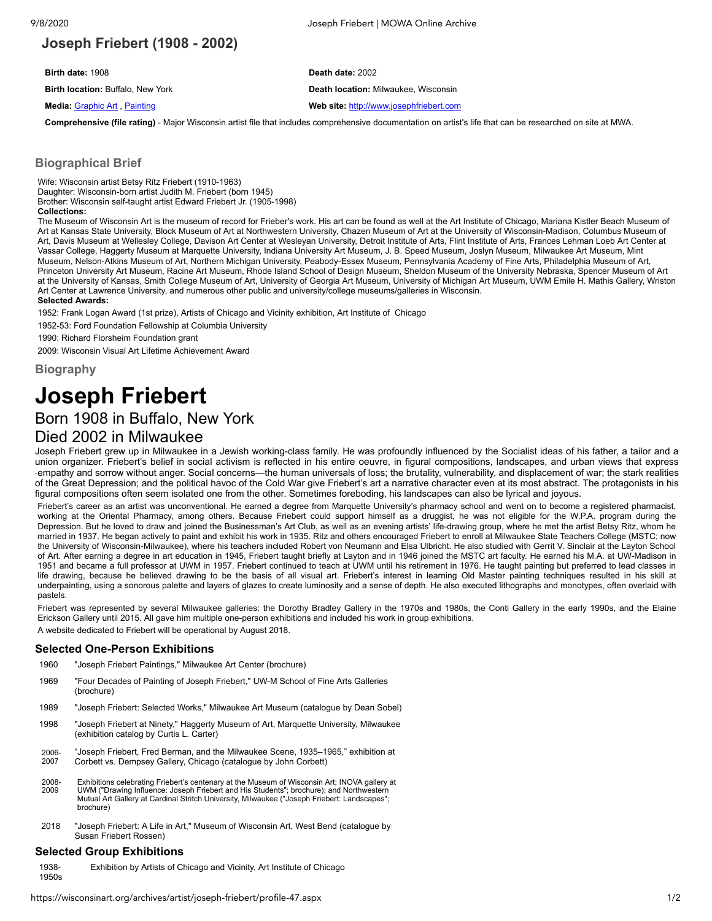# **Joseph Friebert (1908 - 2002)**

**Birth date:** 1908 **Death date:** 2002

**Birth location:** Buffalo, New York **Death location:** Milwaukee, Wisconsin

#### **Media:** [Graphic](https://wisconsinart.org/archives/media/graphic-art-21.aspx) Art , [Painting](https://wisconsinart.org/archives/media/painting-33.aspx) **Web site:** [http://www.josephfriebert.com](http://www.josephfriebert.com/)

**Comprehensive (file rating)** - Major Wisconsin artist file that includes comprehensive documentation on artist's life that can be researched on site at MWA.

#### **Biographical Brief**

Wife: Wisconsin artist Betsy Ritz Friebert (1910-1963) Daughter: Wisconsin-born artist Judith M. Friebert (born 1945) Brother: Wisconsin self-taught artist Edward Friebert Jr. (1905-1998) **Collections:**

The Museum of Wisconsin Art is the museum of record for Frieber's work. His art can be found as well at the Art Institute of Chicago, Mariana Kistler Beach Museum of Art at Kansas State University, Block Museum of Art at Northwestern University, Chazen Museum of Art at the University of Wisconsin-Madison, Columbus Museum of Art, Davis Museum at Wellesley College, Davison Art Center at Wesleyan University, Detroit Institute of Arts, Flint Institute of Arts, Frances Lehman Loeb Art Center at Vassar College, Haggerty Museum at Marquette University, Indiana University Art Museum, J. B. Speed Museum, Joslyn Museum, Milwaukee Art Museum, Mint Museum, Nelson-Atkins Museum of Art, Northern Michigan University, Peabody-Essex Museum, Pennsylvania Academy of Fine Arts, Philadelphia Museum of Art, Princeton University Art Museum, Racine Art Museum, Rhode Island School of Design Museum, Sheldon Museum of the University Nebraska, Spencer Museum of Art at the University of Kansas, Smith College Museum of Art, University of Georgia Art Museum, University of Michigan Art Museum, UWM Emile H. Mathis Gallery, Wriston Art Center at Lawrence University, and numerous other public and university/college museums/galleries in Wisconsin. **Selected Awards:**

1952: Frank Logan Award (1st prize), Artists of Chicago and Vicinity exhibition, Art Institute of Chicago

1952-53: Ford Foundation Fellowship at Columbia University

1990: Richard Florsheim Foundation grant

2009: Wisconsin Visual Art Lifetime Achievement Award

**Biography**

# **Joseph Friebert**

# Born 1908 in Buffalo, New York

# Died 2002 in Milwaukee

Joseph Friebert grew up in Milwaukee in a Jewish working-class family. He was profoundly influenced by the Socialist ideas of his father, a tailor and a union organizer. Friebert's belief in social activism is reflected in his entire oeuvre, in figural compositions, landscapes, and urban views that express empathy and sorrow without anger. Social concerns—the human universals of loss; the brutality, vulnerability, and displacement of war; the stark realities of the Great Depression; and the political havoc of the Cold War give Friebert's art a narrative character even at its most abstract. The protagonists in his figural compositions often seem isolated one from the other. Sometimes foreboding, his landscapes can also be lyrical and joyous.

Friebert's career as an artist was unconventional. He earned a degree from Marquette University's pharmacy school and went on to become a registered pharmacist, working at the Oriental Pharmacy, among others. Because Friebert could support himself as a druggist, he was not eligible for the W.P.A. program during the Depression. But he loved to draw and joined the Businessman's Art Club, as well as an evening artists' life-drawing group, where he met the artist Betsy Ritz, whom he married in 1937. He began actively to paint and exhibit his work in 1935. Ritz and others encouraged Friebert to enroll at Milwaukee State Teachers College (MSTC; now the University of Wisconsin-Milwaukee), where his teachers included Robert von Neumann and Elsa Ulbricht. He also studied with Gerrit V. Sinclair at the Layton School of Art. After earning a degree in art education in 1945, Friebert taught briefly at Layton and in 1946 joined the MSTC art faculty. He earned his M.A. at UW-Madison in 1951 and became a full professor at UWM in 1957. Friebert continued to teach at UWM until his retirement in 1976. He taught painting but preferred to lead classes in life drawing, because he believed drawing to be the basis of all visual art. Friebert's interest in learning Old Master painting techniques resulted in his skill at underpainting, using a sonorous palette and layers of glazes to create luminosity and a sense of depth. He also executed lithographs and monotypes, often overlaid with pastels.

Friebert was represented by several Milwaukee galleries: the Dorothy Bradley Gallery in the 1970s and 1980s, the Conti Gallery in the early 1990s, and the Elaine Erickson Gallery until 2015. All gave him multiple one-person exhibitions and included his work in group exhibitions. A website dedicated to Friebert will be operational by August 2018.

#### **Selected One-Person Exhibitions**

- 1960 "Joseph Friebert Paintings," Milwaukee Art Center (brochure)
- 1969 "Four Decades of Painting of Joseph Friebert," UW-M School of Fine Arts Galleries (brochure)
- 1989 "Joseph Friebert: Selected Works," Milwaukee Art Museum (catalogue by Dean Sobel)
- 1998 "Joseph Friebert at Ninety," Haggerty Museum of Art, Marquette University, Milwaukee (exhibition catalog by Curtis L. Carter)
- 2006- 2007 "Joseph Friebert, Fred Berman, and the Milwaukee Scene, 1935–1965," exhibition at Corbett vs. Dempsey Gallery, Chicago (catalogue by John Corbett)
- 2008- 2009 Exhibitions celebrating Friebert's centenary at the Museum of Wisconsin Art; INOVA gallery at UWM ("Drawing Influence: Joseph Friebert and His Students"; brochure); and Northwestern Mutual Art Gallery at Cardinal Stritch University, Milwaukee ("Joseph Friebert: Landscapes"; brochure)
- 2018 "Joseph Friebert: A Life in Art," Museum of Wisconsin Art, West Bend (catalogue by Susan Friebert Rossen)

#### **Selected Group Exhibitions**

1938- 1950s Exhibition by Artists of Chicago and Vicinity, Art Institute of Chicago